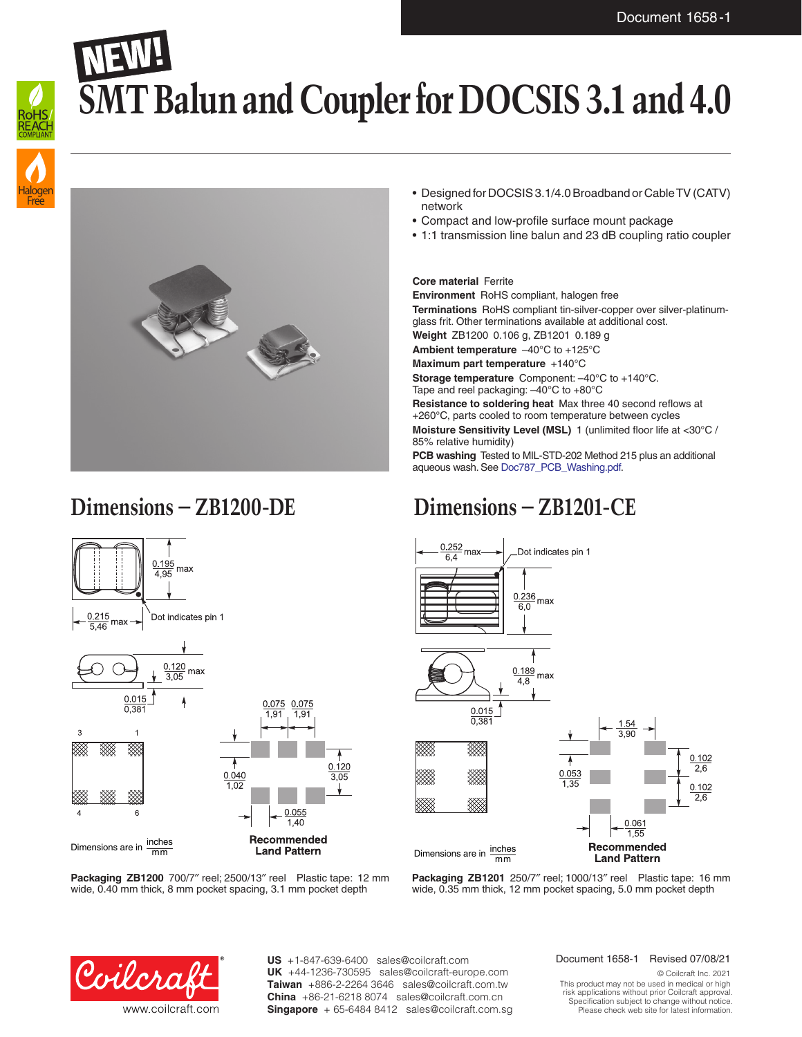# **SMT Balun and Coupler for DOCSIS 3.1 and 4.0**





## **Dimensions – ZB1200-DE Dimensions – ZB1201-CE**



## • Designed for DOCSIS 3.1/4.0 Broadband or Cable TV (CATV) network

- Compact and low-profile surface mount package
- 1:1 transmission line balun and 23 dB coupling ratio coupler

### **Core material** Ferrite

**Environment** RoHS compliant, halogen free **Terminations** RoHS compliant tin-silver-copper over silver-platinumglass frit. Other terminations available at additional cost.

**Weight** ZB1200 0.106 g, ZB1201 0.189 g

**Ambient temperature** –40°C to +125°C

**Maximum part temperature** +140°C

**Storage temperature** Component: –40°C to +140°C. Tape and reel packaging: –40°C to +80°C

**Resistance to soldering heat** Max three 40 second reflows at +260°C, parts cooled to room temperature between cycles **Moisture Sensitivity Level (MSL)** 1 (unlimited floor life at <30°C / 85% relative humidity)

**PCB washing** Tested to MIL-STD-202 Method 215 plus an additional aqueous wash. See [Doc787\\_PCB\\_Washing.pdf](http://www.coilcraft.com/pdfs/Doc787_PCB_Washing.pdf).



**Packaging ZB1201** 250/7″ reel; 1000/13″ reel Plastic tape: 16 mm wide, 0.35 mm thick, 12 mm pocket spacing, 5.0 mm pocket depth

**Packaging ZB1200** 700/7″ reel; 2500/13″ reel Plastic tape: 12 mm wide, 0.40 mm thick, 8 mm pocket spacing, 3.1 mm pocket depth



**US** +1-847-639-6400 sales@coilcraft.com +44-1236-730595 sales@coilcraft-europe.com **UK** +886-2-2264 3646 sales@coilcraft.com.tw **Taiwan** +86-21-6218 8074 sales@coilcraft.com.cn **China** Singapore + 65-6484 8412 sales@coilcraft.com.sg

### Document 1658-1 Revised 07/08/21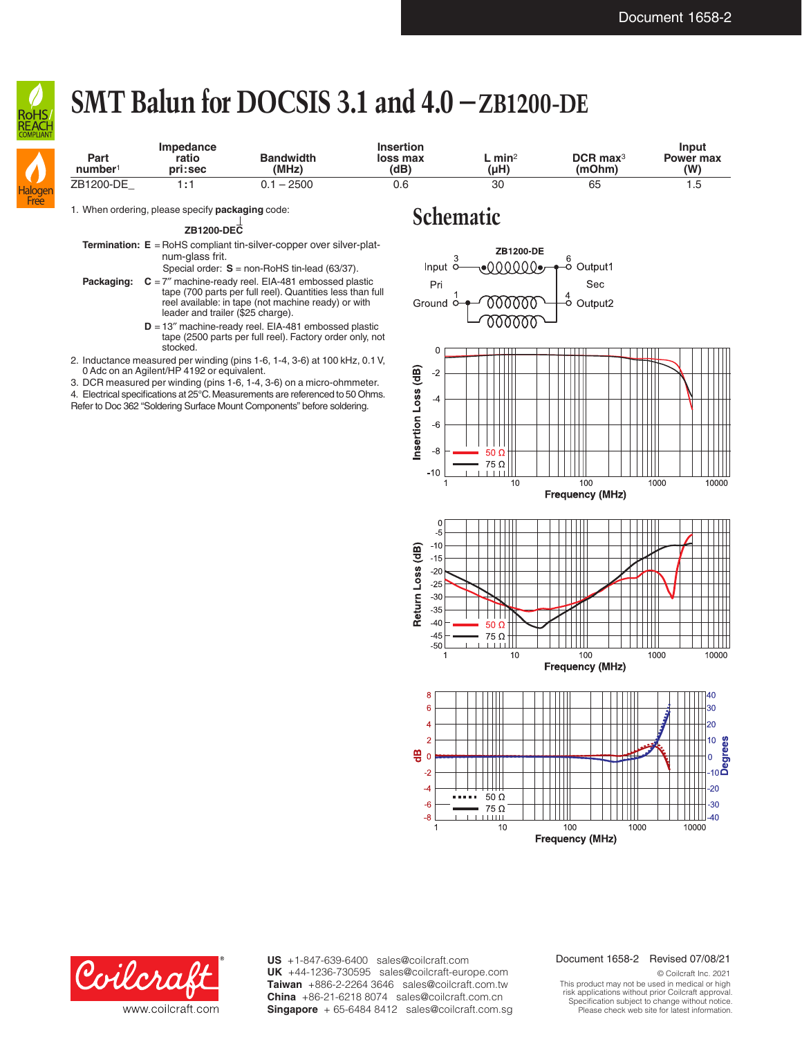

Halogen Free

# **SMT Balun for DOCSIS 3.1 and 4.0 –ZB1200-DE**

| Part<br>number <sup>1</sup> | Impedance<br>ratio<br>pri:sec | <b>Bandwidth</b><br>(MHz) | <b>Insertion</b><br>loss max<br>(dB) | $L$ min <sup>2</sup><br>$(\mu H)$ | $DCR$ max <sup>3</sup><br>(mOhm) | Input<br><b>Power max</b><br>(W) |
|-----------------------------|-------------------------------|---------------------------|--------------------------------------|-----------------------------------|----------------------------------|----------------------------------|
| ZB1200-DE                   | l : 1                         | $0.1 - 2500$              | 0.6                                  | 30                                | 65                               | 1.5                              |

1. When ordering, please specify **packaging** code:<br>
<br> **Schematic** 

**ZB1200-DEC**

**Termination: E** = RoHS compliant tin-silver-copper over silver-platnum-glass frit.

Special order: **S** = non-RoHS tin-lead (63/37).

- **Packaging: C** = 7″ machine-ready reel. EIA-481 embossed plastic tape (700 parts per full reel). Quantities less than full reel available: in tape (not machine ready) or with leader and trailer (\$25 charge).
	- **D** = 13″ machine-ready reel. EIA-481 embossed plastic tape (2500 parts per full reel). Factory order only, not stocked.
- 2. Inductance measured per winding (pins 1-6, 1-4, 3-6) at 100 kHz, 0.1V, 0 Adc on an Agilent/HP 4192 or equivalent.

3. DCR measured per winding (pins 1-6, 1-4, 3-6) on a micro-ohmmeter.

4. Electrical specifications at 25°C. Measurements are referenced to 50 Ohms.

Refer to Doc 362 "Soldering Surface Mount Components" before soldering.





**US** +1-847-639-6400 sales@coilcraft.com +44-1236-730595 sales@coilcraft-europe.com **UK** +886-2-2264 3646 sales@coilcraft.com.tw **Taiwan** +86-21-6218 8074 sales@coilcraft.com.cn **China** Singapore + 65-6484 8412 sales@coilcraft.com.sg

#### Document 1658-2 Revised 07/08/21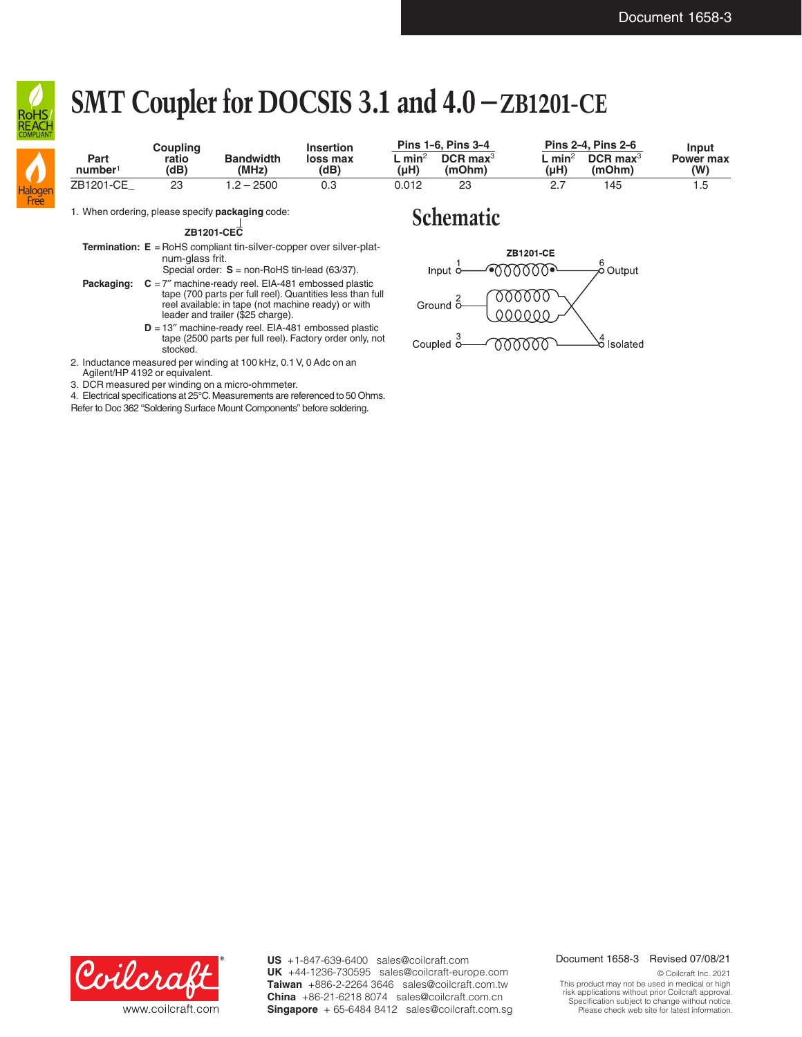

Free

# **SMT Coupler for DOCSIS 3.1 and 4.0 –ZB1201-CE**

| <b>CONFLIMNI</b> | Coupling                    |               | <b>Insertion</b>          | <b>Pins 1-6. Pins 3-4</b> |             | <b>Pins 2-4. Pins 2-6</b>        |                | Input                            |                  |
|------------------|-----------------------------|---------------|---------------------------|---------------------------|-------------|----------------------------------|----------------|----------------------------------|------------------|
| Haloger          | Part<br>number <sup>1</sup> | ratio<br>(dB) | <b>Bandwidth</b><br>(MHz) | loss max<br>(dB)          | min<br>(uH) | $DCR$ max <sup>3</sup><br>(mOhm) | . minʻ<br>(uH) | $DCR$ max <sup>3</sup><br>(mOhm) | Power max<br>(W) |
|                  | ZB1201-CE                   | 23            | 1.2 – 2500                | 0.3                       | 0.012       | 23                               | 2.7            | 145                              | . .5             |

1. When ordering, please specify **packaging** code:

**ZB1201-CEC**

**Termination: E** = RoHS compliant tin-silver-copper over silver-platnum-glass frit.

Special order: **S** = non-RoHS tin-lead (63/37).

- **Packaging:**  $C = 7$ <sup>"</sup> machine-ready reel. EIA-481 embossed plastic tape (700 parts per full reel). Quantities less than full reel available: in tape (not machine ready) or with leader and trailer (\$25 charge).
	- **D** = 13″ machine-ready reel. EIA-481 embossed plastic tape (2500 parts per full reel). Factory order only, not stocked.

2. Inductance measured per winding at 100 kHz, 0.1V, 0 Adc on an Agilent/HP 4192 or equivalent.

3. DCR measured per winding on a micro-ohmmeter.

4. Electrical specifications at 25°C. Measurements are referenced to 50 Ohms. Refer to Doc 362 "Soldering Surface Mount Components" before soldering.

## **Schematic**





**US** +1-847-639-6400 sales@coilcraft.com +44-1236-730595 sales@coilcraft-europe.com **UK** +886-2-2264 3646 sales@coilcraft.com.tw **Taiwan** +86-21-6218 8074 sales@coilcraft.com.cn **China** Singapore + 65-6484 8412 sales@coilcraft.com.sg

#### Document 1658-3 Revised 07/08/21